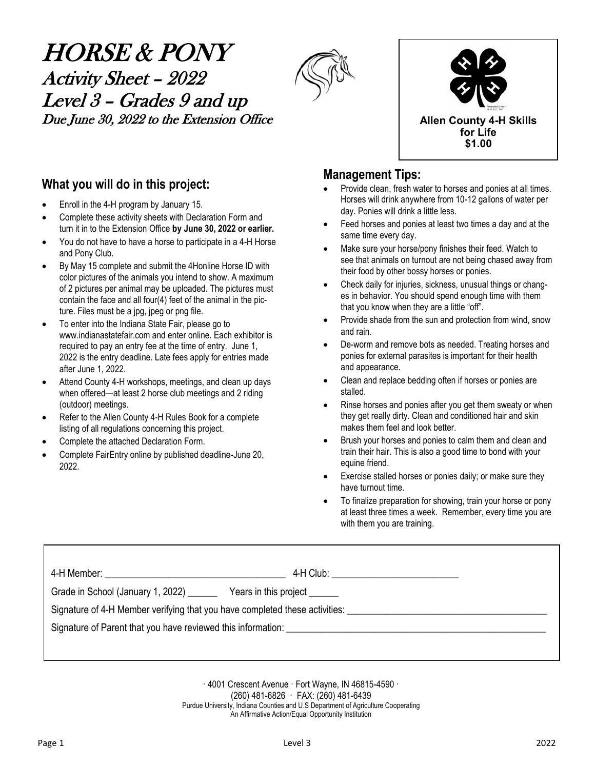# HORSE & PONY Activity Sheet – 2022 Level 3 – Grades 9 and up Due June 30, 2022 to the Extension Office **Allen County 4-H** Skills





### **What you will do in this project:**

- Enroll in the 4-H program by January 15.
- Complete these activity sheets with Declaration Form and turn it in to the Extension Office **by June 30, 2022 or earlier.**
- You do not have to have a horse to participate in a 4-H Horse and Pony Club.
- By May 15 complete and submit the 4Honline Horse ID with color pictures of the animals you intend to show. A maximum of 2 pictures per animal may be uploaded. The pictures must contain the face and all four(4) feet of the animal in the picture. Files must be a jpg, jpeg or png file.
- To enter into the Indiana State Fair, please go to www.indianastatefair.com and enter online. Each exhibitor is required to pay an entry fee at the time of entry. June 1, 2022 is the entry deadline. Late fees apply for entries made after June 1, 2022.
- Attend County 4-H workshops, meetings, and clean up days when offered—at least 2 horse club meetings and 2 riding (outdoor) meetings.
- Refer to the Allen County 4-H Rules Book for a complete listing of all regulations concerning this project.
- Complete the attached Declaration Form.
- Complete FairEntry online by published deadline-June 20, 2022.

### **Management Tips:**

- Provide clean, fresh water to horses and ponies at all times. Horses will drink anywhere from 10-12 gallons of water per day. Ponies will drink a little less.
- Feed horses and ponies at least two times a day and at the same time every day.
- Make sure your horse/pony finishes their feed. Watch to see that animals on turnout are not being chased away from their food by other bossy horses or ponies.
- Check daily for injuries, sickness, unusual things or changes in behavior. You should spend enough time with them that you know when they are a little "off".
- Provide shade from the sun and protection from wind, snow and rain.
- De-worm and remove bots as needed. Treating horses and ponies for external parasites is important for their health and appearance.
- Clean and replace bedding often if horses or ponies are stalled.
- Rinse horses and ponies after you get them sweaty or when they get really dirty. Clean and conditioned hair and skin makes them feel and look better.
- Brush your horses and ponies to calm them and clean and train their hair. This is also a good time to bond with your equine friend.
- Exercise stalled horses or ponies daily; or make sure they have turnout time.
- To finalize preparation for showing, train your horse or pony at least three times a week. Remember, every time you are with them you are training.

|                                                                                                                | 4-H Club: _____________________________ |
|----------------------------------------------------------------------------------------------------------------|-----------------------------------------|
| Grade in School (January 1, 2022) ______                                                                       | Years in this project                   |
| Signature of 4-H Member verifying that you have completed these activities: __________________________________ |                                         |
| Signature of Parent that you have reviewed this information:                                                   |                                         |
|                                                                                                                |                                         |

· 4001 Crescent Avenue · Fort Wayne, IN 46815-4590 · (260) 481-6826 · FAX: (260) 481-6439 Purdue University, Indiana Counties and U.S Department of Agriculture Cooperating An Affirmative Action/Equal Opportunity Institution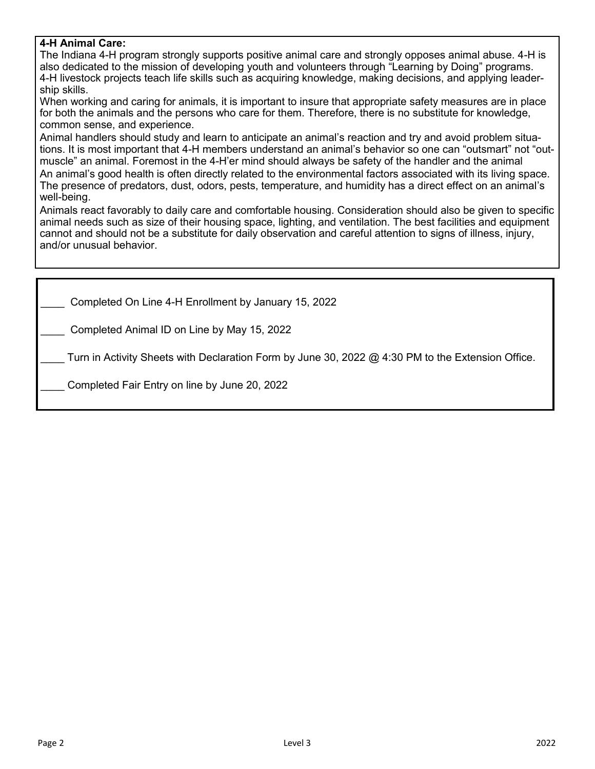### **4-H Animal Care:**

The Indiana 4-H program strongly supports positive animal care and strongly opposes animal abuse. 4-H is also dedicated to the mission of developing youth and volunteers through "Learning by Doing" programs. 4-H livestock projects teach life skills such as acquiring knowledge, making decisions, and applying leadership skills.

When working and caring for animals, it is important to insure that appropriate safety measures are in place for both the animals and the persons who care for them. Therefore, there is no substitute for knowledge, common sense, and experience.

Animal handlers should study and learn to anticipate an animal's reaction and try and avoid problem situations. It is most important that 4-H members understand an animal's behavior so one can "outsmart" not "outmuscle" an animal. Foremost in the 4-H'er mind should always be safety of the handler and the animal An animal's good health is often directly related to the environmental factors associated with its living space. The presence of predators, dust, odors, pests, temperature, and humidity has a direct effect on an animal's well-being.

Animals react favorably to daily care and comfortable housing. Consideration should also be given to specific animal needs such as size of their housing space, lighting, and ventilation. The best facilities and equipment cannot and should not be a substitute for daily observation and careful attention to signs of illness, injury, and/or unusual behavior.

\_\_\_\_ Completed On Line 4-H Enrollment by January 15, 2022

\_\_\_\_ Completed Animal ID on Line by May 15, 2022

Turn in Activity Sheets with Declaration Form by June 30, 2022  $@$  4:30 PM to the Extension Office.

Completed Fair Entry on line by June 20, 2022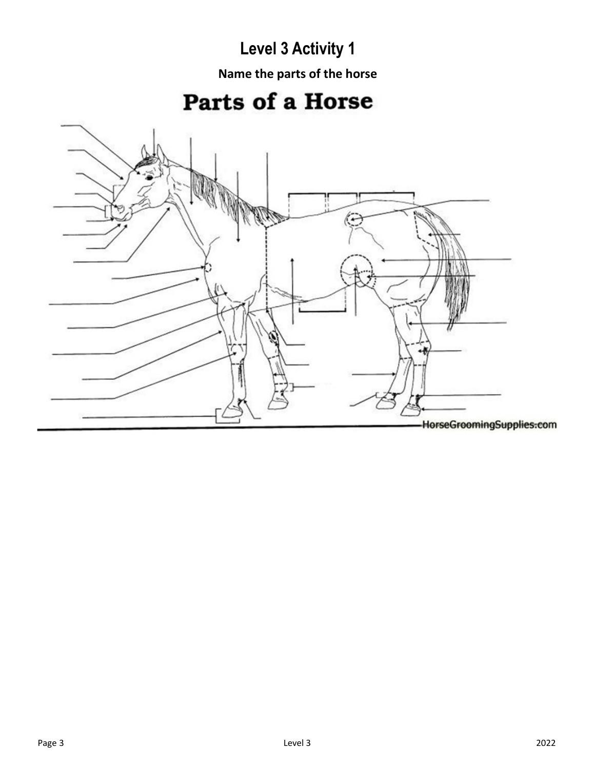**Name the parts of the horse**

# Parts of a Horse

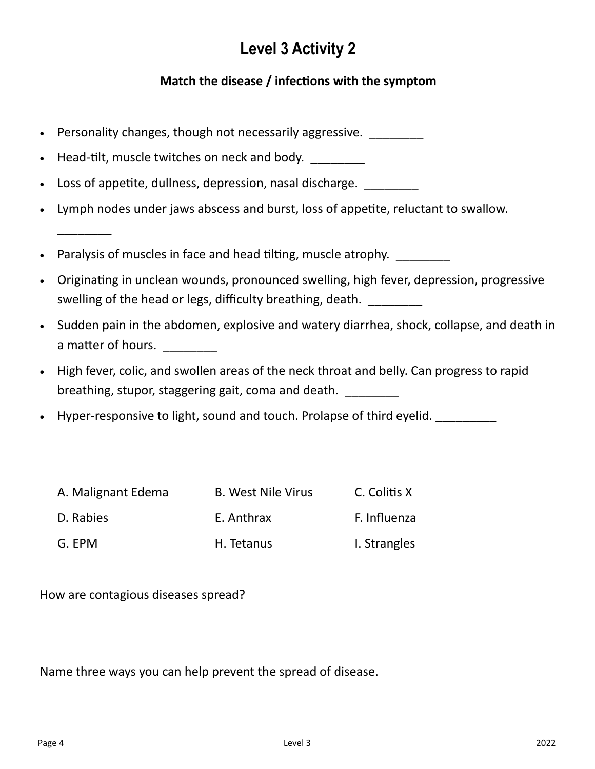### **Match the disease / infections with the symptom**

- Personality changes, though not necessarily aggressive.
- Head-tilt, muscle twitches on neck and body.
- Loss of appetite, dullness, depression, nasal discharge.
- Lymph nodes under jaws abscess and burst, loss of appetite, reluctant to swallow.
- Paralysis of muscles in face and head tilting, muscle atrophy.
- Originating in unclean wounds, pronounced swelling, high fever, depression, progressive swelling of the head or legs, difficulty breathing, death.
- Sudden pain in the abdomen, explosive and watery diarrhea, shock, collapse, and death in a matter of hours.
- High fever, colic, and swollen areas of the neck throat and belly. Can progress to rapid breathing, stupor, staggering gait, coma and death.
- Hyper-responsive to light, sound and touch. Prolapse of third eyelid.

| A. Malignant Edema | <b>B. West Nile Virus</b> | C. Colitis X |
|--------------------|---------------------------|--------------|
| D. Rabies          | E. Anthrax                | F. Influenza |
| G. EPM             | H. Tetanus                | I. Strangles |

How are contagious diseases spread?

\_\_\_\_\_\_\_\_

Name three ways you can help prevent the spread of disease.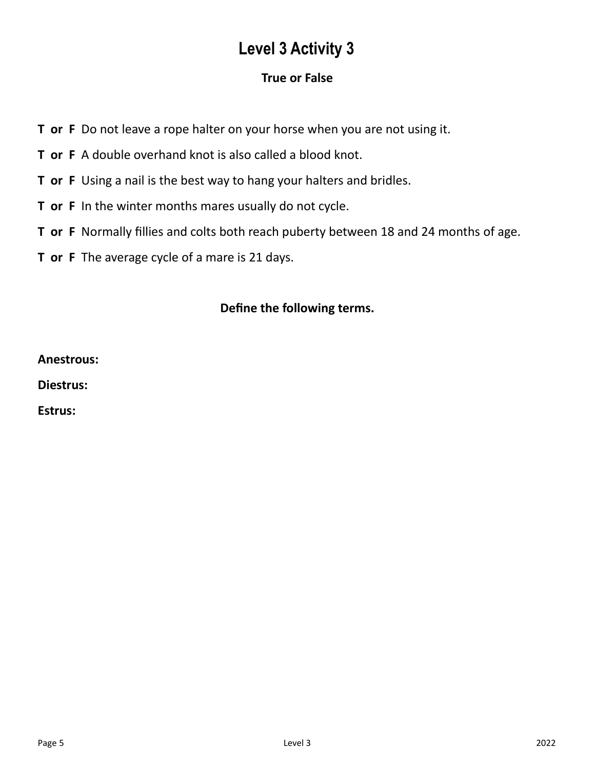### **True or False**

- **T or F** Do not leave a rope halter on your horse when you are not using it.
- **T or F** A double overhand knot is also called a blood knot.
- **T or F** Using a nail is the best way to hang your halters and bridles.
- **T or F** In the winter months mares usually do not cycle.
- **T or F** Normally fillies and colts both reach puberty between 18 and 24 months of age.
- **T or F** The average cycle of a mare is 21 days.

### **Define the following terms.**

**Anestrous:**

**Diestrus:**

**Estrus:**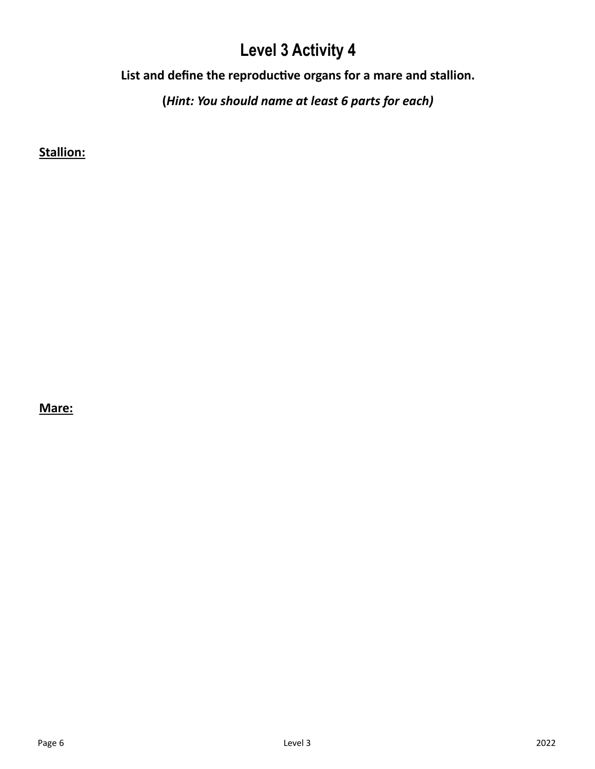**List and define the reproductive organs for a mare and stallion.**

**(***Hint: You should name at least 6 parts for each)*

**Stallion:**

**Mare:**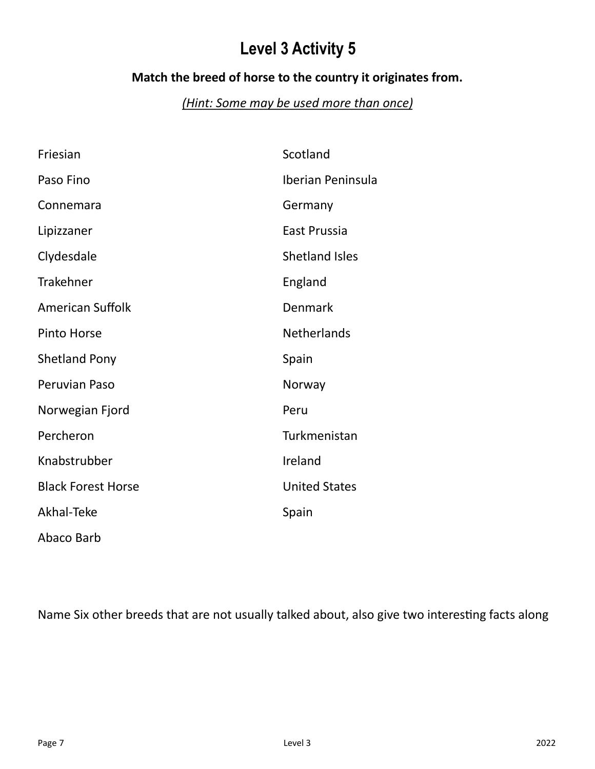### **Match the breed of horse to the country it originates from.**

## *(Hint: Some may be used more than once)*

| Friesian                  | Scotland              |
|---------------------------|-----------------------|
| Paso Fino                 | Iberian Peninsula     |
| Connemara                 | Germany               |
| Lipizzaner                | East Prussia          |
| Clydesdale                | <b>Shetland Isles</b> |
| <b>Trakehner</b>          | England               |
| <b>American Suffolk</b>   | Denmark               |
| <b>Pinto Horse</b>        | <b>Netherlands</b>    |
| <b>Shetland Pony</b>      | Spain                 |
| Peruvian Paso             | Norway                |
| Norwegian Fjord           | Peru                  |
| Percheron                 | Turkmenistan          |
| Knabstrubber              | Ireland               |
| <b>Black Forest Horse</b> | <b>United States</b>  |
| Akhal-Teke                | Spain                 |
| Abaco Barb                |                       |

Name Six other breeds that are not usually talked about, also give two interesting facts along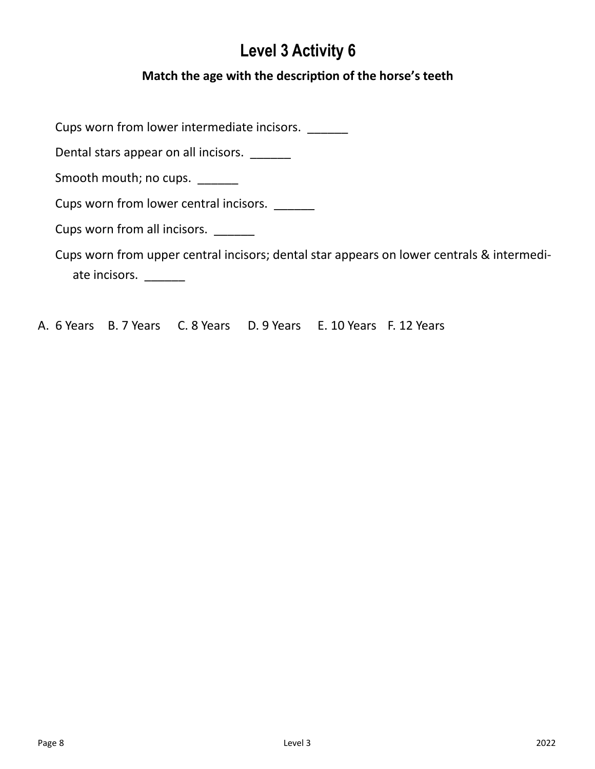### **Match the age with the description of the horse's teeth**

Cups worn from lower intermediate incisors. \_\_\_\_\_\_\_

Dental stars appear on all incisors.

Smooth mouth; no cups. \_\_\_\_\_\_

Cups worn from lower central incisors. \_\_\_\_\_\_

Cups worn from all incisors. \_\_\_\_\_\_\_

Cups worn from upper central incisors; dental star appears on lower centrals & intermediate incisors. \_\_\_\_\_\_\_

A. 6 Years B. 7 Years C. 8 Years D. 9 Years E. 10 Years F. 12 Years